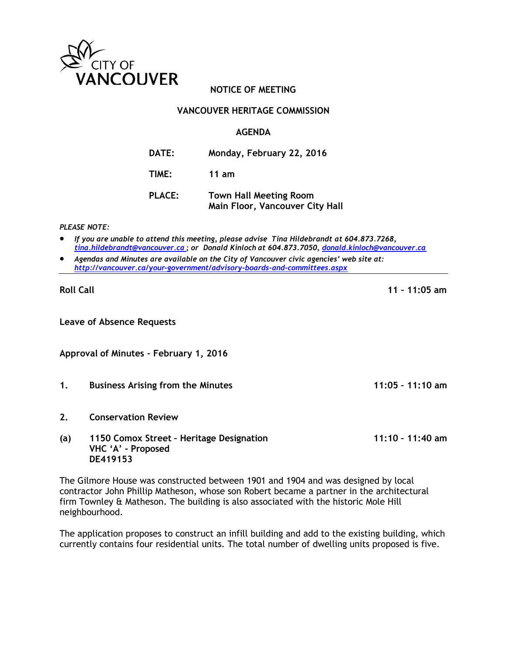

# **NOTICE OF MEETING**

## **VANCOUVER HERITAGE COMMISSION**

### **AGENDA**

| DATE:         | Monday, February 22, 2016                                               |
|---------------|-------------------------------------------------------------------------|
| TIME:         | 11 am                                                                   |
| <b>PLACE:</b> | <b>Town Hall Meeting Room</b><br><b>Main Floor, Vancouver City Hall</b> |

*PLEASE NOTE:*

- *If you are unable to attend this meeting, please advise Tina Hildebrandt at 604.873.7268, [tina.hildebrandt@vancouver.ca](mailto:tina.hildebrandt@vancouver.ca) ; or Donald Kinloch at 604.873.7050, [donald.kinloch@vancouver.ca](mailto:donald.kinloch@vancouver.ca)*
- *Agendas and Minutes are available on the City of Vancouver civic agencies' web site at: <http://vancouver.ca/your-government/advisory-boards-and-committees.aspx>*

**Leave of Absence Requests**

**Approval of Minutes – February 1, 2016**

- **1. Business Arising from the Minutes 11:05 – 11:10 am**
- **2. Conservation Review**
- **(a) 1150 Comox Street – Heritage Designation 11:10 – 11:40 am VHC 'A' - Proposed DE419153**

The Gilmore House was constructed between 1901 and 1904 and was designed by local contractor John Phillip Matheson, whose son Robert became a partner in the architectural firm Townley & Matheson. The building is also associated with the historic Mole Hill neighbourhood.

The application proposes to construct an infill building and add to the existing building, which currently contains four residential units. The total number of dwelling units proposed is five.

**Roll Call 11 – 11:05 am**